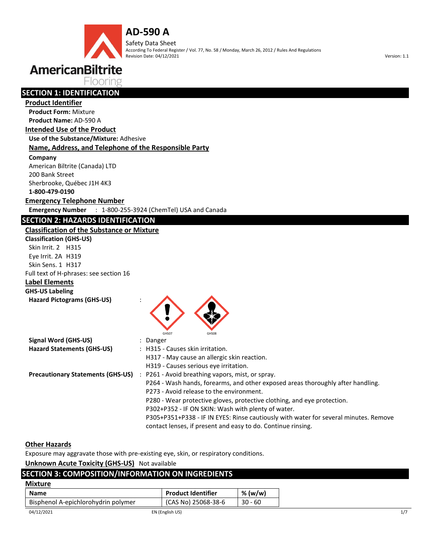**AD-590 A** Safety Data Sheet According To Federal Register / Vol. 77, No. 58 / Monday, March 26, 2012 / Rules And Regulations Revision Date: 04/12/2021 Version: 1.1



Flooring

## **SECTION 1: IDENTIFICATION**

#### **Product Identifier**

**Product Form:** Mixture **Product Name:** AD-590 A

## **Intended Use of the Product**

**Use of the Substance/Mixture:** Adhesive

#### **Name, Address, and Telephone of the Responsible Party**

**Company** 

American Biltrite (Canada) LTD 200 Bank Street Sherbrooke, Québec J1H 4K3

**1-800-479-0190**

**Emergency Telephone Number**

**Emergency Number** : 1-800-255-3924 (ChemTel) USA and Canada

## **SECTION 2: HAZARDS IDENTIFICATION**

### **Classification of the Substance or Mixture**

**Classification (GHS-US)** Skin Irrit. 2 H315 Eye Irrit. 2A H319 Skin Sens. 1 H317 Full text of H-phrases: see section 16 **Label Elements GHS-US Labeling** 





| Signal Word (GHS-US)                     | : Danger                                                                             |
|------------------------------------------|--------------------------------------------------------------------------------------|
| <b>Hazard Statements (GHS-US)</b>        | : H315 - Causes skin irritation.                                                     |
|                                          | H317 - May cause an allergic skin reaction.                                          |
|                                          | H319 - Causes serious eye irritation.                                                |
| <b>Precautionary Statements (GHS-US)</b> | : P261 - Avoid breathing vapors, mist, or spray.                                     |
|                                          | P264 - Wash hands, forearms, and other exposed areas thoroughly after handling.      |
|                                          | P273 - Avoid release to the environment.                                             |
|                                          | P280 - Wear protective gloves, protective clothing, and eye protection.              |
|                                          | P302+P352 - IF ON SKIN: Wash with plenty of water.                                   |
|                                          | P305+P351+P338 - IF IN EYES: Rinse cautiously with water for several minutes. Remove |
|                                          | contact lenses, if present and easy to do. Continue rinsing.                         |

## **Other Hazards**

Exposure may aggravate those with pre-existing eye, skin, or respiratory conditions.

**Unknown Acute Toxicity (GHS-US)** Not available

| <b>SECTION 3: COMPOSITION/INFORMATION ON INGREDIENTS</b> |                           |           |
|----------------------------------------------------------|---------------------------|-----------|
| <b>Mixture</b>                                           |                           |           |
| <b>Name</b>                                              | <b>Product Identifier</b> | % (w/w)   |
| Bisphenol A-epichlorohydrin polymer                      | (CAS No) 25068-38-6       | $30 - 60$ |
| 04/12/2021                                               | EN (English US)           |           |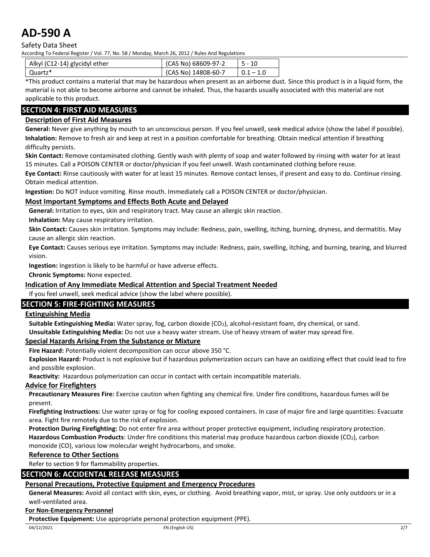Safety Data Sheet

According To Federal Register / Vol. 77, No. 58 / Monday, March 26, 2012 / Rules And Regulations

| Alkyl (C12-14) glycidyl ether | (CAS No) 68609-97-2 |             |
|-------------------------------|---------------------|-------------|
| Quartz*                       | (CAS No) 14808-60-7 | $0.1 - 1.0$ |

\*This product contains a material that may be hazardous when present as an airborne dust. Since this product is in a liquid form, the material is not able to become airborne and cannot be inhaled. Thus, the hazards usually associated with this material are not applicable to this product.

## **SECTION 4: FIRST AID MEASURES**

### **Description of First Aid Measures**

**General:** Never give anything by mouth to an unconscious person. If you feel unwell, seek medical advice (show the label if possible). **Inhalation:** Remove to fresh air and keep at rest in a position comfortable for breathing. Obtain medical attention if breathing difficulty persists.

**Skin Contact:** Remove contaminated clothing. Gently wash with plenty of soap and water followed by rinsing with water for at least 15 minutes. Call a POISON CENTER or doctor/physician if you feel unwell. Wash contaminated clothing before reuse.

**Eye Contact:** Rinse cautiously with water for at least 15 minutes. Remove contact lenses, if present and easy to do. Continue rinsing. Obtain medical attention.

**Ingestion:** Do NOT induce vomiting. Rinse mouth. Immediately call a POISON CENTER or doctor/physician.

#### **Most Important Symptoms and Effects Both Acute and Delayed**

**General:** Irritation to eyes, skin and respiratory tract. May cause an allergic skin reaction.

**Inhalation:** May cause respiratory irritation.

**Skin Contact:** Causes skin irritation. Symptoms may include: Redness, pain, swelling, itching, burning, dryness, and dermatitis. May cause an allergic skin reaction.

**Eye Contact:** Causes serious eye irritation. Symptoms may include: Redness, pain, swelling, itching, and burning, tearing, and blurred vision.

**Ingestion:** Ingestion is likely to be harmful or have adverse effects.

**Chronic Symptoms:** None expected.

#### **Indication of Any Immediate Medical Attention and Special Treatment Needed**

If you feel unwell, seek medical advice (show the label where possible).

### **SECTION 5: FIRE-FIGHTING MEASURES**

#### **Extinguishing Media**

Suitable Extinguishing Media: Water spray, fog, carbon dioxide (CO<sub>2</sub>), alcohol-resistant foam, dry chemical, or sand. **Unsuitable Extinguishing Media:** Do not use a heavy water stream. Use of heavy stream of water may spread fire.

#### **Special Hazards Arising From the Substance or Mixture**

**Fire Hazard:** Potentially violent decomposition can occur above 350 °C.

**Explosion Hazard:** Product is not explosive but if hazardous polymerization occurs can have an oxidizing effect that could lead to fire and possible explosion.

**Reactivity:** Hazardous polymerization can occur in contact with certain incompatible materials.

#### **Advice for Firefighters**

**Precautionary Measures Fire:** Exercise caution when fighting any chemical fire. Under fire conditions, hazardous fumes will be present.

**Firefighting Instructions:** Use water spray or fog for cooling exposed containers. In case of major fire and large quantities: Evacuate area. Fight fire remotely due to the risk of explosion.

**Protection During Firefighting:** Do not enter fire area without proper protective equipment, including respiratory protection. **Hazardous Combustion Products**: Under fire conditions this material may produce hazardous carbon dioxide (CO2), carbon monoxide (CO), various low molecular weight hydrocarbons, and smoke.

#### **Reference to Other Sections**

Refer to section 9 for flammability properties.

#### **SECTION 6: ACCIDENTAL RELEASE MEASURES**

## **Personal Precautions, Protective Equipment and Emergency Procedures**

**General Measures:** Avoid all contact with skin, eyes, or clothing. Avoid breathing vapor, mist, or spray. Use only outdoors or in a well-ventilated area.

## **For Non-Emergency Personnel**

**Protective Equipment:** Use appropriate personal protection equipment (PPE).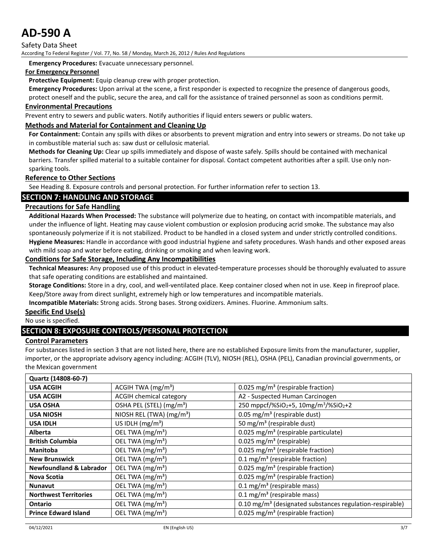Safety Data Sheet

According To Federal Register / Vol. 77, No. 58 / Monday, March 26, 2012 / Rules And Regulations

**Emergency Procedures:** Evacuate unnecessary personnel.

#### **For Emergency Personnel**

**Protective Equipment:** Equip cleanup crew with proper protection.

**Emergency Procedures:** Upon arrival at the scene, a first responder is expected to recognize the presence of dangerous goods,

protect oneself and the public, secure the area, and call for the assistance of trained personnel as soon as conditions permit.

#### **Environmental Precautions**

Prevent entry to sewers and public waters. Notify authorities if liquid enters sewers or public waters.

#### **Methods and Material for Containment and Cleaning Up**

**For Containment:** Contain any spills with dikes or absorbents to prevent migration and entry into sewers or streams. Do not take up in combustible material such as: saw dust or cellulosic material.

**Methods for Cleaning Up:** Clear up spills immediately and dispose of waste safely. Spills should be contained with mechanical barriers. Transfer spilled material to a suitable container for disposal. Contact competent authorities after a spill. Use only nonsparking tools.

#### **Reference to Other Sections**

See Heading 8. Exposure controls and personal protection. For further information refer to section 13.

#### **SECTION 7: HANDLING AND STORAGE**

#### **Precautions for Safe Handling**

**Additional Hazards When Processed:** The substance will polymerize due to heating, on contact with incompatible materials, and under the influence of light. Heating may cause violent combustion or explosion producing acrid smoke. The substance may also spontaneously polymerize if it is not stabilized. Product to be handled in a closed system and under strictly controlled conditions. **Hygiene Measures:** Handle in accordance with good industrial hygiene and safety procedures. Wash hands and other exposed areas

with mild soap and water before eating, drinking or smoking and when leaving work.

## **Conditions for Safe Storage, Including Any Incompatibilities**

**Technical Measures:** Any proposed use of this product in elevated-temperature processes should be thoroughly evaluated to assure that safe operating conditions are established and maintained.

**Storage Conditions:** Store in a dry, cool, and well-ventilated place. Keep container closed when not in use. Keep in fireproof place. Keep/Store away from direct sunlight, extremely high or low temperatures and incompatible materials.

**Incompatible Materials:** Strong acids. Strong bases. Strong oxidizers. Amines. Fluorine. Ammonium salts.

#### **Specific End Use(s)**

No use is specified.

### **SECTION 8: EXPOSURE CONTROLS/PERSONAL PROTECTION**

#### **Control Parameters**

For substances listed in section 3 that are not listed here, there are no established Exposure limits from the manufacturer, supplier, importer, or the appropriate advisory agency including: ACGIH (TLV), NIOSH (REL), OSHA (PEL), Canadian provincial governments, or the Mexican government

| Quartz (14808-60-7)                |                                      |                                                                           |
|------------------------------------|--------------------------------------|---------------------------------------------------------------------------|
| <b>USA ACGIH</b>                   | ACGIH TWA $(mg/m3)$                  | 0.025 mg/m <sup>3</sup> (respirable fraction)                             |
| <b>USA ACGIH</b>                   | <b>ACGIH chemical category</b>       | A2 - Suspected Human Carcinogen                                           |
| <b>USA OSHA</b>                    | OSHA PEL (STEL) (mg/m <sup>3</sup> ) | 250 mppcf/%SiO <sub>2</sub> +5, 10mg/m <sup>3</sup> /%SiO <sub>2</sub> +2 |
| <b>USA NIOSH</b>                   | NIOSH REL (TWA) (mg/m <sup>3</sup> ) | 0.05 mg/m <sup>3</sup> (respirable dust)                                  |
| <b>USA IDLH</b>                    | US IDLH $(mg/m3)$                    | 50 mg/m <sup>3</sup> (respirable dust)                                    |
| Alberta                            | OEL TWA (mg/m <sup>3</sup> )         | 0.025 mg/m <sup>3</sup> (respirable particulate)                          |
| <b>British Columbia</b>            | OEL TWA (mg/m <sup>3</sup> )         | 0.025 mg/m <sup>3</sup> (respirable)                                      |
| <b>Manitoba</b>                    | OEL TWA (mg/m <sup>3</sup> )         | 0.025 mg/m <sup>3</sup> (respirable fraction)                             |
| <b>New Brunswick</b>               | OEL TWA (mg/m <sup>3</sup> )         | 0.1 mg/m <sup>3</sup> (respirable fraction)                               |
| <b>Newfoundland &amp; Labrador</b> | OEL TWA (mg/m <sup>3</sup> )         | 0.025 mg/m <sup>3</sup> (respirable fraction)                             |
| Nova Scotia                        | OEL TWA (mg/m <sup>3</sup> )         | 0.025 mg/m <sup>3</sup> (respirable fraction)                             |
| <b>Nunavut</b>                     | OEL TWA (mg/m <sup>3</sup> )         | 0.1 mg/m <sup>3</sup> (respirable mass)                                   |
| <b>Northwest Territories</b>       | OEL TWA (mg/m <sup>3</sup> )         | 0.1 mg/m <sup>3</sup> (respirable mass)                                   |
| Ontario                            | OEL TWA (mg/m <sup>3</sup> )         | 0.10 mg/m <sup>3</sup> (designated substances regulation-respirable)      |
| <b>Prince Edward Island</b>        | OEL TWA $(mg/m3)$                    | 0.025 mg/m <sup>3</sup> (respirable fraction)                             |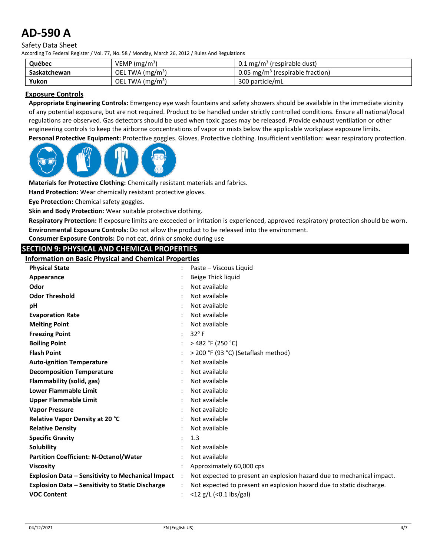#### Safety Data Sheet

According To Federal Register / Vol. 77, No. 58 / Monday, March 26, 2012 / Rules And Regulations

| Québec       | VEMP $(mg/m3)$    | 0.1 mg/m <sup>3</sup> (respirable dust)      |
|--------------|-------------------|----------------------------------------------|
| Saskatchewan | OEL TWA $(mg/m3)$ | 0.05 mg/m <sup>3</sup> (respirable fraction) |
| Yukon        | OEL TWA $(mg/m3)$ | 300 particle/mL                              |

#### **Exposure Controls**

**Appropriate Engineering Controls:** Emergency eye wash fountains and safety showers should be available in the immediate vicinity of any potential exposure, but are not required. Product to be handled under strictly controlled conditions. Ensure all national/local regulations are observed. Gas detectors should be used when toxic gases may be released. Provide exhaust ventilation or other engineering controls to keep the airborne concentrations of vapor or mists below the applicable workplace exposure limits.

**Personal Protective Equipment:** Protective goggles. Gloves. Protective clothing. Insufficient ventilation: wear respiratory protection.



**Materials for Protective Clothing:** Chemically resistant materials and fabrics.

**Hand Protection:** Wear chemically resistant protective gloves.

**Eye Protection:** Chemical safety goggles.

**Skin and Body Protection:** Wear suitable protective clothing.

**Respiratory Protection:** If exposure limits are exceeded or irritation is experienced, approved respiratory protection should be worn. **Environmental Exposure Controls:** Do not allow the product to be released into the environment.

**Consumer Exposure Controls:** Do not eat, drink or smoke during use

## **SECTION 9: PHYSICAL AND CHEMICAL PROPERTIES**

**Information on Basic Physical and Chemical Properties**

| <b>Physical State</b>                                    |                | Paste – Viscous Liquid                                                |
|----------------------------------------------------------|----------------|-----------------------------------------------------------------------|
| Appearance                                               |                | Beige Thick liquid                                                    |
| Odor                                                     |                | Not available                                                         |
| <b>Odor Threshold</b>                                    |                | Not available                                                         |
| рH                                                       |                | Not available                                                         |
| <b>Evaporation Rate</b>                                  |                | Not available                                                         |
| <b>Melting Point</b>                                     |                | Not available                                                         |
| <b>Freezing Point</b>                                    |                | $32^{\circ}$ F                                                        |
| <b>Boiling Point</b>                                     |                | $>$ 482 °F (250 °C)                                                   |
| <b>Flash Point</b>                                       |                | > 200 °F (93 °C) (Setaflash method)                                   |
| <b>Auto-ignition Temperature</b>                         |                | Not available                                                         |
| <b>Decomposition Temperature</b>                         |                | Not available                                                         |
| Flammability (solid, gas)                                |                | Not available                                                         |
| Lower Flammable Limit                                    |                | Not available                                                         |
| <b>Upper Flammable Limit</b>                             |                | Not available                                                         |
| <b>Vapor Pressure</b>                                    |                | Not available                                                         |
| Relative Vapor Density at 20 °C                          |                | Not available                                                         |
| <b>Relative Density</b>                                  |                | Not available                                                         |
| <b>Specific Gravity</b>                                  |                | 1.3                                                                   |
| <b>Solubility</b>                                        |                | Not available                                                         |
| <b>Partition Coefficient: N-Octanol/Water</b>            |                | Not available                                                         |
| <b>Viscosity</b>                                         |                | Approximately 60,000 cps                                              |
| <b>Explosion Data - Sensitivity to Mechanical Impact</b> | $\ddot{\cdot}$ | Not expected to present an explosion hazard due to mechanical impact. |
| <b>Explosion Data - Sensitivity to Static Discharge</b>  |                | Not expected to present an explosion hazard due to static discharge.  |
| <b>VOC Content</b>                                       |                | $<$ 12 g/L ( $<$ 0.1 lbs/gal)                                         |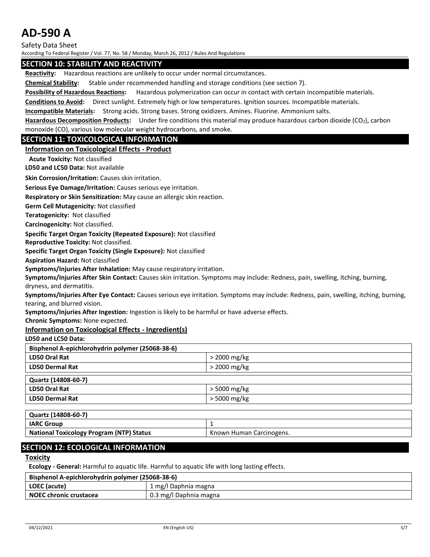Safety Data Sheet

According To Federal Register / Vol. 77, No. 58 / Monday, March 26, 2012 / Rules And Regulations

#### **SECTION 10: STABILITY AND REACTIVITY**

**Reactivity:** Hazardous reactions are unlikely to occur under normal circumstances.

**Chemical Stability:** Stable under recommended handling and storage conditions (see section 7).

**Possibility of Hazardous Reactions:** Hazardous polymerization can occur in contact with certain incompatible materials.

**Conditions to Avoid:** Direct sunlight. Extremely high or low temperatures. Ignition sources. Incompatible materials.

**Incompatible Materials:** Strong acids. Strong bases. Strong oxidizers. Amines. Fluorine. Ammonium salts.

**Hazardous Decomposition Products:** Under fire conditions this material may produce hazardous carbon dioxide (CO2), carbon monoxide (CO), various low molecular weight hydrocarbons, and smoke.

#### **SECTION 11: TOXICOLOGICAL INFORMATION**

#### **Information on Toxicological Effects - Product**

**Acute Toxicity:** Not classified

**LD50 and LC50 Data:** Not available

**Skin Corrosion/Irritation:** Causes skin irritation.

**Serious Eye Damage/Irritation:** Causes serious eye irritation.

**Respiratory or Skin Sensitization:** May cause an allergic skin reaction.

**Germ Cell Mutagenicity:** Not classified

**Teratogenicity:** Not classified

**Carcinogenicity:** Not classified.

**Specific Target Organ Toxicity (Repeated Exposure):** Not classified

**Reproductive Toxicity:** Not classified.

**Specific Target Organ Toxicity (Single Exposure):** Not classified

**Aspiration Hazard:** Not classified

**Symptoms/Injuries After Inhalation:** May cause respiratory irritation.

**Symptoms/Injuries After Skin Contact:** Causes skin irritation. Symptoms may include: Redness, pain, swelling, itching, burning, dryness, and dermatitis.

**Symptoms/Injuries After Eye Contact:** Causes serious eye irritation. Symptoms may include: Redness, pain, swelling, itching, burning, tearing, and blurred vision.

**Symptoms/Injuries After Ingestion:** Ingestion is likely to be harmful or have adverse effects.

**Chronic Symptoms:** None expected.

#### **Information on Toxicological Effects - Ingredient(s)**

**LD50 and LC50 Data:**

| Bisphenol A-epichlorohydrin polymer (25068-38-6) |                |
|--------------------------------------------------|----------------|
| <b>LD50 Oral Rat</b>                             | $>$ 2000 mg/kg |
| <b>LD50 Dermal Rat</b>                           | > 2000 mg/kg   |
| Quartz (14808-60-7)                              |                |
| <b>LD50 Oral Rat</b>                             | > 5000 mg/kg   |
| <b>LD50 Dermal Rat</b>                           | > 5000 mg/kg   |
|                                                  |                |

| Quartz (14808-60-7)                             |                          |
|-------------------------------------------------|--------------------------|
| <b>IARC Group</b>                               |                          |
| <b>National Toxicology Program (NTP) Status</b> | Known Human Carcinogens. |

### **SECTION 12: ECOLOGICAL INFORMATION**

**Toxicity** 

**Ecology - General:** Harmful to aquatic life. Harmful to aquatic life with long lasting effects.

| Bisphenol A-epichlorohydrin polymer (25068-38-6) |                        |  |
|--------------------------------------------------|------------------------|--|
| LOEC (acute)                                     | 1 mg/l Daphnia magna   |  |
| <b>NOEC chronic crustacea</b>                    | 0.3 mg/l Daphnia magna |  |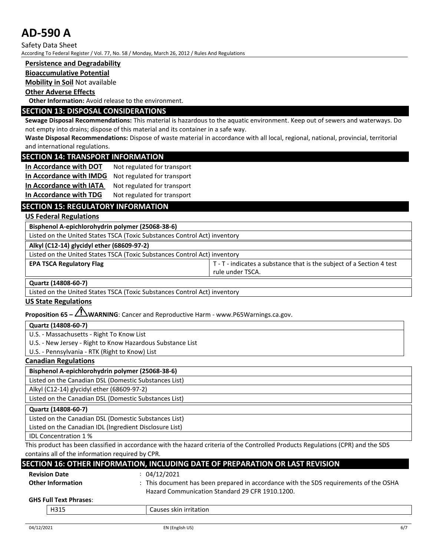Safety Data Sheet

According To Federal Register / Vol. 77, No. 58 / Monday, March 26, 2012 / Rules And Regulations

#### **Persistence and Degradability**

#### **Bioaccumulative Potential**

**Mobility in Soil** Not available

#### **Other Adverse Effects**

**Other Information:** Avoid release to the environment.

## **SECTION 13: DISPOSAL CONSIDERATIONS**

**Sewage Disposal Recommendations:** This material is hazardous to the aquatic environment. Keep out of sewers and waterways. Do not empty into drains; dispose of this material and its container in a safe way.

**Waste Disposal Recommendations:** Dispose of waste material in accordance with all local, regional, national, provincial, territorial and international regulations.

#### **SECTION 14: TRANSPORT INFORMATION**

| In Accordance with DOT  | Not regulated for transport |
|-------------------------|-----------------------------|
| In Accordance with IMDG | Not regulated for transport |
| In Accordance with IATA | Not regulated for transport |
| In Accordance with TDG  | Not regulated for transport |

## **SECTION 15: REGULATORY INFORMATION**

#### **US Federal Regulations**

**Bisphenol A-epichlorohydrin polymer (25068-38-6)**

Listed on the United States TSCA (Toxic Substances Control Act) inventory

**Alkyl (C12-14) glycidyl ether (68609-97-2)**

Listed on the United States TSCA (Toxic Substances Control Act) inventory

#### **EPA TSCA Regulatory Flag** The Section 4 test **T** - T - indicates a substance that is the subject of a Section 4 test

rule under TSCA.

#### **Quartz (14808-60-7)**

Listed on the United States TSCA (Toxic Substances Control Act) inventory

#### **US State Regulations**

**Proposition 65 – WARNING**: Cancer and Reproductive Harm - www.P65Warnings.ca.gov.

#### **Quartz (14808-60-7)**

U.S. - Massachusetts - Right To Know List

U.S. - New Jersey - Right to Know Hazardous Substance List

U.S. - Pennsylvania - RTK (Right to Know) List

#### **Canadian Regulations**

**Bisphenol A-epichlorohydrin polymer (25068-38-6)** Listed on the Canadian DSL (Domestic Substances List) Alkyl (C12-14) glycidyl ether (68609-97-2)

Listed on the Canadian DSL (Domestic Substances List)

**Quartz (14808-60-7)**

Listed on the Canadian DSL (Domestic Substances List)

Listed on the Canadian IDL (Ingredient Disclosure List)

IDL Concentration 1 %

This product has been classified in accordance with the hazard criteria of the Controlled Products Regulations (CPR) and the SDS contains all of the information required by CPR.

## **SECTION 16: OTHER INFORMATION, INCLUDING DATE OF PREPARATION OR LAST REVISION**

| <b>Revision Date</b>          | : 04/12/2021                                                                          |  |
|-------------------------------|---------------------------------------------------------------------------------------|--|
| <b>Other Information</b>      | : This document has been prepared in accordance with the SDS requirements of the OSHA |  |
|                               | Hazard Communication Standard 29 CFR 1910.1200.                                       |  |
| <b>GHS Full Text Phrases:</b> |                                                                                       |  |
| H315                          | Causes skin irritation                                                                |  |